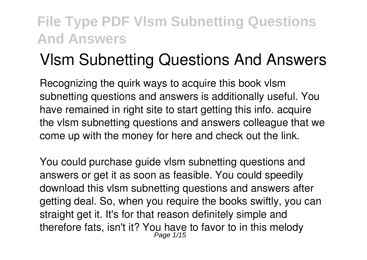# **Vlsm Subnetting Questions And Answers**

Recognizing the quirk ways to acquire this book **vlsm subnetting questions and answers** is additionally useful. You have remained in right site to start getting this info. acquire the vlsm subnetting questions and answers colleague that we come up with the money for here and check out the link.

You could purchase guide vlsm subnetting questions and answers or get it as soon as feasible. You could speedily download this vlsm subnetting questions and answers after getting deal. So, when you require the books swiftly, you can straight get it. It's for that reason definitely simple and therefore fats, isn't it? You have to favor to in this melody Page 1/15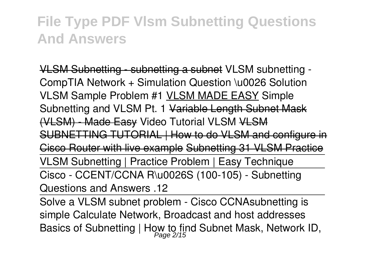VLSM Subnetting - subnetting a subnet **VLSM subnetting - CompTIA Network + Simulation Question \u0026 Solution** *VLSM Sample Problem #1* VLSM MADE EASY *Simple Subnetting and VLSM Pt. 1* Variable Length Subnet Mask (VLSM) - Made Easy Video Tutorial VLSM VLSM SUBNETTING TUTORIAL | How to do VLSM and configure in Cisco Router with live example Subnetting 31 VLSM Practice VLSM Subnetting | Practice Problem | Easy Technique Cisco - CCENT/CCNA R\u0026S (100-105) - Subnetting Questions and Answers .12

Solve a VLSM subnet problem - Cisco CCNA*subnetting is simple Calculate Network, Broadcast and host addresses Basics of Subnetting | How to find Subnet Mask, Network ID,* Page 2/15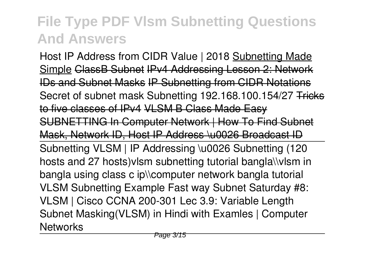*Host IP Address from CIDR Value | 2018* Subnetting Made Simple ClassB Subnet IPv4 Addressing Lesson 2: Network IDs and Subnet Masks IP Subnetting from CIDR Notations *Secret of subnet mask Subnetting 192.168.100.154/27* Tricks to five classes of IPv4 VLSM B Class Made Easy SUBNETTING In Computer Network | How To Find Subnet Mask, Network ID, Host IP Address \u0026 Broadcast ID Subnetting VLSM | IP Addressing \u0026 Subnetting (120 hosts and 27 hosts)*vlsm subnetting tutorial bangla\\vlsm in bangla using class c ip\\computer network bangla tutorial* VLSM Subnetting Example Fast way Subnet Saturday #8: VLSM | Cisco CCNA 200-301 *Lec 3.9: Variable Length Subnet Masking(VLSM) in Hindi with Examles | Computer Networks*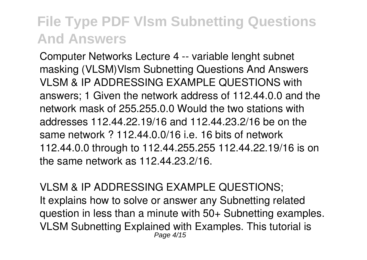Computer Networks Lecture 4 -- variable lenght subnet masking (VLSM)*Vlsm Subnetting Questions And Answers* VLSM & IP ADDRESSING EXAMPLE OUESTIONS with answers; 1 Given the network address of 112.44.0.0 and the network mask of 255.255.0.0 Would the two stations with addresses 112.44.22.19/16 and 112.44.23.2/16 be on the same network  $2$  112.44.0.0/16 i.e. 16 bits of network 112.44.0.0 through to 112.44.255.255 112.44.22.19/16 is on the same network as 112.44.23.2/16.

*VLSM & IP ADDRESSING EXAMPLE QUESTIONS;* It explains how to solve or answer any Subnetting related question in less than a minute with 50+ Subnetting examples. VLSM Subnetting Explained with Examples. This tutorial is Page 4/15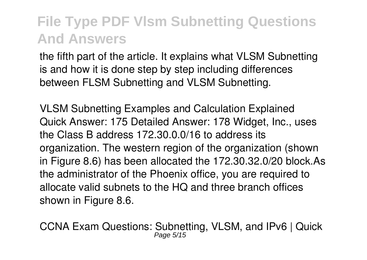the fifth part of the article. It explains what VLSM Subnetting is and how it is done step by step including differences between FLSM Subnetting and VLSM Subnetting.

*VLSM Subnetting Examples and Calculation Explained* Quick Answer: 175 Detailed Answer: 178 Widget, Inc., uses the Class B address 172.30.0.0/16 to address its organization. The western region of the organization (shown in Figure 8.6) has been allocated the 172.30.32.0/20 block.As the administrator of the Phoenix office, you are required to allocate valid subnets to the HQ and three branch offices shown in Figure 8.6.

*CCNA Exam Questions: Subnetting, VLSM, and IPv6 | Quick* Page 5/15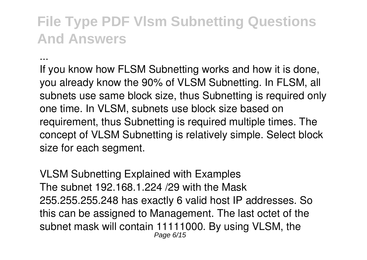*...*

If you know how FLSM Subnetting works and how it is done, you already know the 90% of VLSM Subnetting. In FLSM, all subnets use same block size, thus Subnetting is required only one time. In VLSM, subnets use block size based on requirement, thus Subnetting is required multiple times. The concept of VLSM Subnetting is relatively simple. Select block size for each seament.

*VLSM Subnetting Explained with Examples* The subnet 192.168.1.224 /29 with the Mask 255.255.255.248 has exactly 6 valid host IP addresses. So this can be assigned to Management. The last octet of the subnet mask will contain 11111000. By using VLSM, the Page 6/15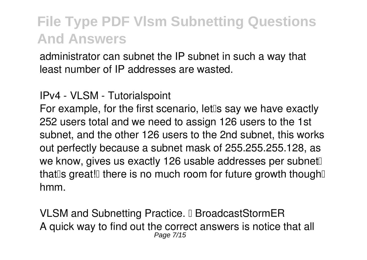administrator can subnet the IP subnet in such a way that least number of IP addresses are wasted.

*IPv4 - VLSM - Tutorialspoint*

For example, for the first scenario, let<sup>II</sup>s say we have exactly 252 users total and we need to assign 126 users to the 1st subnet, and the other 126 users to the 2nd subnet, this works out perfectly because a subnet mask of 255.255.255.128, as we know, gives us exactly 126 usable addresses per subnet. that  $\sin \theta$  s great! there is no much room for future growth though  $\sin \theta$ hmm.

*VLSM and Subnetting Practice. – BroadcastStormER* A quick way to find out the correct answers is notice that all Page 7/15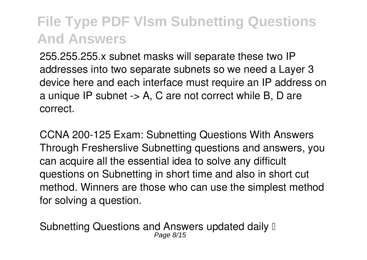255.255.255.x subnet masks will separate these two IP addresses into two separate subnets so we need a Layer 3 device here and each interface must require an IP address on a unique IP subnet -> A, C are not correct while B, D are correct.

*CCNA 200-125 Exam: Subnetting Questions With Answers* Through Fresherslive Subnetting questions and answers, you can acquire all the essential idea to solve any difficult questions on Subnetting in short time and also in short cut method. Winners are those who can use the simplest method for solving a question.

*Subnetting Questions and Answers updated daily –* Page 8/15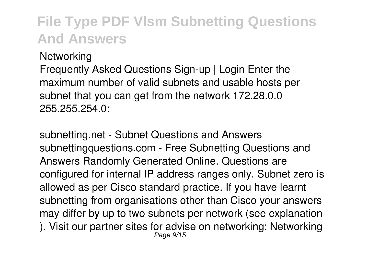*Networking*

Frequently Asked Questions Sign-up | Login Enter the maximum number of valid subnets and usable hosts per subnet that you can get from the network 172.28.0.0 255.255.254.0:

*subnetting.net - Subnet Questions and Answers* subnettingquestions.com - Free Subnetting Questions and Answers Randomly Generated Online. Questions are configured for internal IP address ranges only. Subnet zero is allowed as per Cisco standard practice. If you have learnt subnetting from organisations other than Cisco your answers may differ by up to two subnets per network (see explanation ). Visit our partner sites for advise on networking: Networking Page 9/15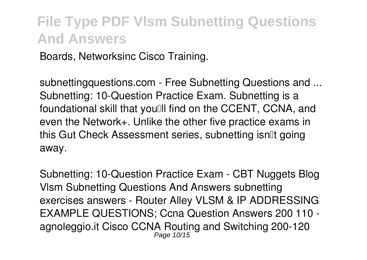Boards, Networksinc Cisco Training.

*subnettingquestions.com - Free Subnetting Questions and ...* Subnetting: 10-Question Practice Exam. Subnetting is a foundational skill that you ll find on the CCENT, CCNA, and even the Network+. Unlike the other five practice exams in this Gut Check Assessment series, subnetting isn<sup>[1</sup> going] away.

*Subnetting: 10-Question Practice Exam - CBT Nuggets Blog* Vlsm Subnetting Questions And Answers subnetting exercises answers - Router Alley VLSM & IP ADDRESSING EXAMPLE QUESTIONS; Ccna Question Answers 200 110 agnoleggio.it Cisco CCNA Routing and Switching 200-120 Page 10/15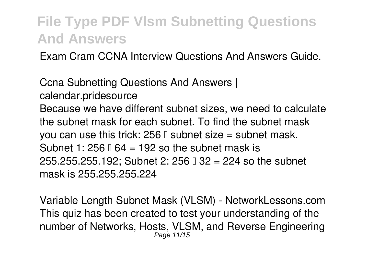Exam Cram CCNA Interview Questions And Answers Guide.

*Ccna Subnetting Questions And Answers | calendar.pridesource* Because we have different subnet sizes, we need to calculate the subnet mask for each subnet. To find the subnet mask you can use this trick:  $256$   $\mathbb{I}$  subnet size = subnet mask. Subnet 1: 256  $\parallel$  64 = 192 so the subnet mask is 255.255.255.192; Subnet 2: 256  $\text{I}$  32 = 224 so the subnet mask is 255.255.255.224

*Variable Length Subnet Mask (VLSM) - NetworkLessons.com* This quiz has been created to test your understanding of the number of Networks, Hosts, VLSM, and Reverse Engineering Page 11/15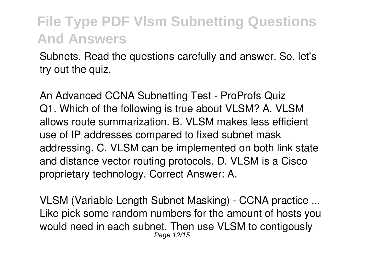Subnets. Read the questions carefully and answer. So, let's try out the quiz.

*An Advanced CCNA Subnetting Test - ProProfs Quiz* Q1. Which of the following is true about VLSM? A. VLSM allows route summarization. B. VLSM makes less efficient use of IP addresses compared to fixed subnet mask addressing. C. VLSM can be implemented on both link state and distance vector routing protocols. D. VLSM is a Cisco proprietary technology. Correct Answer: A.

*VLSM (Variable Length Subnet Masking) - CCNA practice ...* Like pick some random numbers for the amount of hosts you would need in each subnet. Then use VLSM to contigously Page 12/15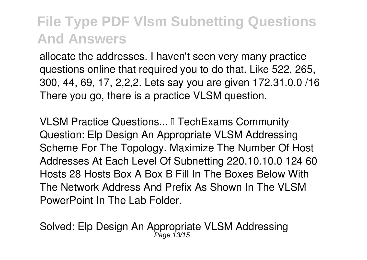allocate the addresses. I haven't seen very many practice questions online that required you to do that. Like 522, 265, 300, 44, 69, 17, 2,2,2. Lets say you are given 172.31.0.0 /16 There you go, there is a practice VLSM question.

*VLSM Practice Questions...* **I** TechExams Community Question: Elp Design An Appropriate VLSM Addressing Scheme For The Topology. Maximize The Number Of Host Addresses At Each Level Of Subnetting 220.10.10.0 124 60 Hosts 28 Hosts Box A Box B Fill In The Boxes Below With The Network Address And Prefix As Shown In The VLSM PowerPoint In The Lab Folder.

*Solved: Elp Design An Appropriate VLSM Addressing* Page 13/15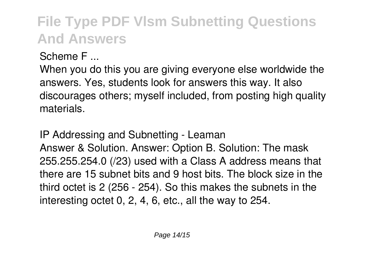*Scheme F ...*

When you do this you are giving everyone else worldwide the answers. Yes, students look for answers this way. It also discourages others; myself included, from posting high quality materials.

*IP Addressing and Subnetting - Leaman* Answer & Solution. Answer: Option B. Solution: The mask 255.255.254.0 (/23) used with a Class A address means that there are 15 subnet bits and 9 host bits. The block size in the third octet is 2 (256 - 254). So this makes the subnets in the interesting octet 0, 2, 4, 6, etc., all the way to 254.